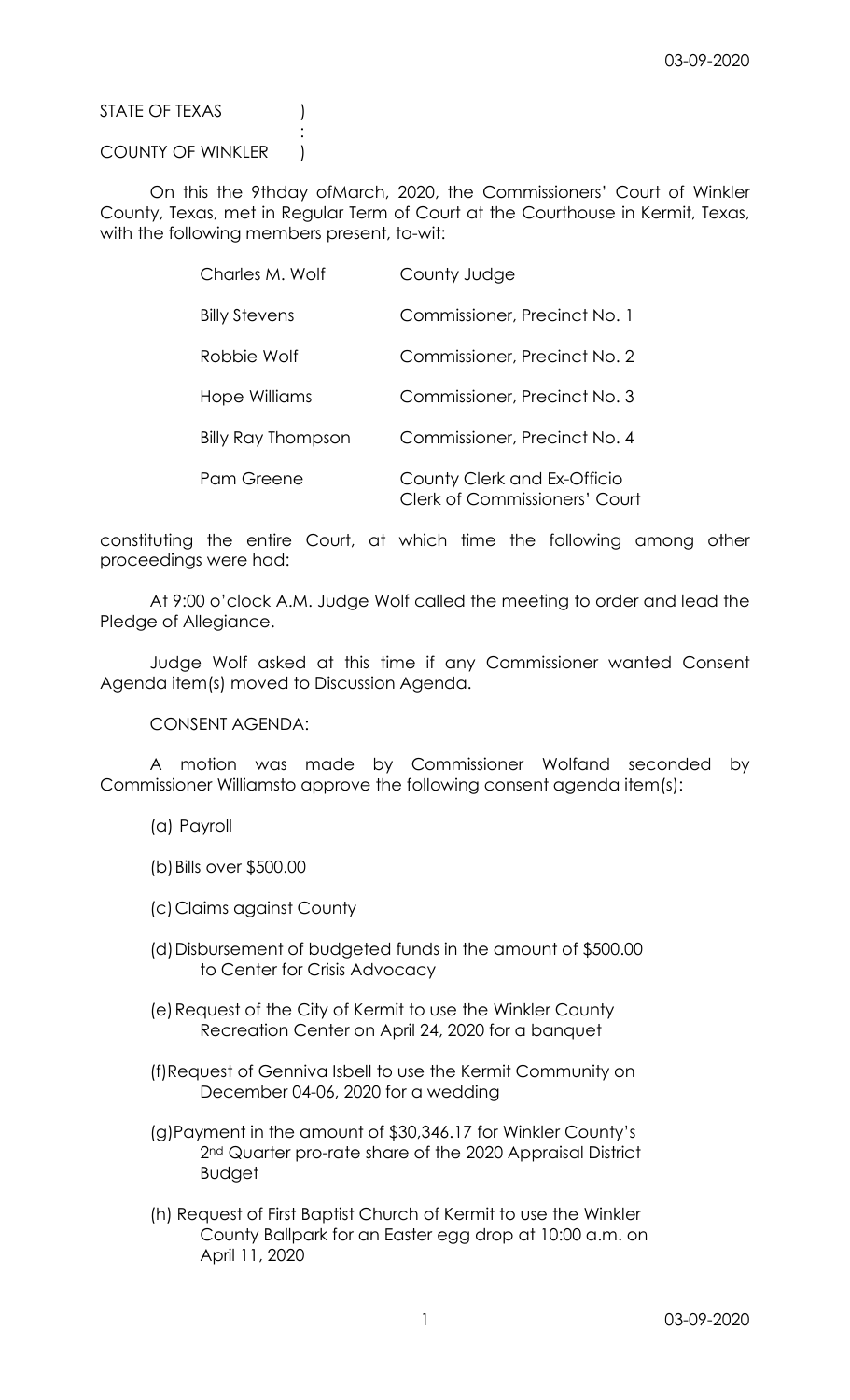STATE OF TEXAS (1)

## COUNTY OF WINKLER )

**Service State State State State** 

 On this the 9thday ofMarch, 2020, the Commissioners' Court of Winkler County, Texas, met in Regular Term of Court at the Courthouse in Kermit, Texas, with the following members present, to-wit:

| Charles M. Wolf           | County Judge                                                        |
|---------------------------|---------------------------------------------------------------------|
| <b>Billy Stevens</b>      | Commissioner, Precinct No. 1                                        |
| Robbie Wolf               | Commissioner, Precinct No. 2                                        |
| Hope Williams             | Commissioner, Precinct No. 3                                        |
| <b>Billy Ray Thompson</b> | Commissioner, Precinct No. 4                                        |
| Pam Greene                | County Clerk and Ex-Officio<br><b>Clerk of Commissioners' Court</b> |

constituting the entire Court, at which time the following among other proceedings were had:

 At 9:00 o'clock A.M. Judge Wolf called the meeting to order and lead the Pledge of Allegiance.

 Judge Wolf asked at this time if any Commissioner wanted Consent Agenda item(s) moved to Discussion Agenda.

CONSENT AGENDA:

 A motion was made by Commissioner Wolfand seconded by Commissioner Williamsto approve the following consent agenda item(s):

(a) Payroll

(b)Bills over \$500.00

(c)Claims against County

- (d)Disbursement of budgeted funds in the amount of \$500.00 to Center for Crisis Advocacy
- (e)Request of the City of Kermit to use the Winkler County Recreation Center on April 24, 2020 for a banquet
- (f)Request of Genniva Isbell to use the Kermit Community on December 04-06, 2020 for a wedding
- (g)Payment in the amount of \$30,346.17 for Winkler County's 2<sup>nd</sup> Quarter pro-rate share of the 2020 Appraisal District Budget
- (h) Request of First Baptist Church of Kermit to use the Winkler County Ballpark for an Easter egg drop at 10:00 a.m. on April 11, 2020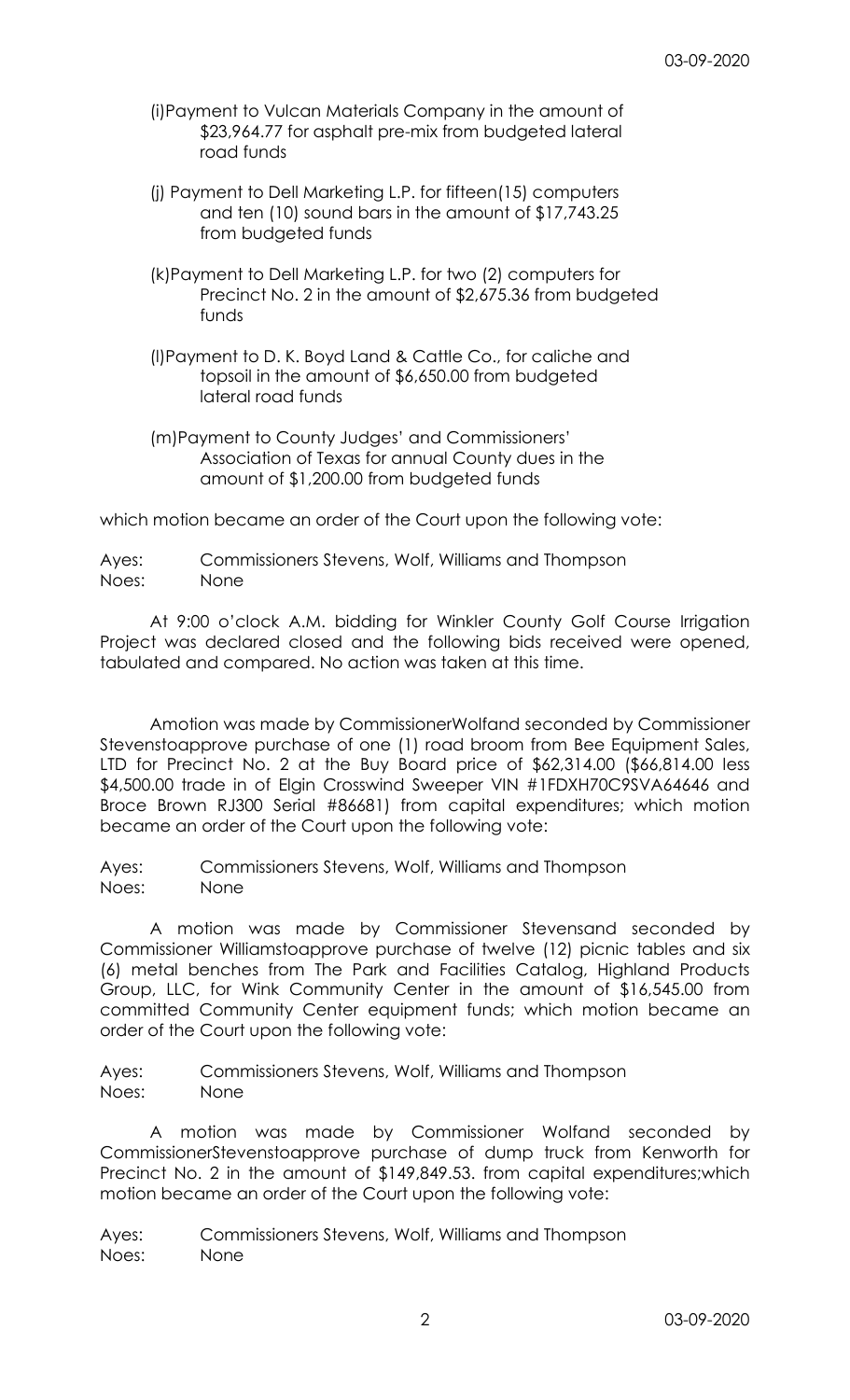- (i)Payment to Vulcan Materials Company in the amount of \$23,964.77 for asphalt pre-mix from budgeted lateral road funds
- (j) Payment to Dell Marketing L.P. for fifteen(15) computers and ten (10) sound bars in the amount of \$17,743.25 from budgeted funds
- (k)Payment to Dell Marketing L.P. for two (2) computers for Precinct No. 2 in the amount of \$2,675.36 from budgeted funds
- (l)Payment to D. K. Boyd Land & Cattle Co., for caliche and topsoil in the amount of \$6,650.00 from budgeted lateral road funds
- (m)Payment to County Judges' and Commissioners' Association of Texas for annual County dues in the amount of \$1,200.00 from budgeted funds

which motion became an order of the Court upon the following vote:

Ayes: Commissioners Stevens, Wolf, Williams and Thompson Noes: None

 At 9:00 o'clock A.M. bidding for Winkler County Golf Course Irrigation Project was declared closed and the following bids received were opened, tabulated and compared. No action was taken at this time.

 Amotion was made by CommissionerWolfand seconded by Commissioner Stevenstoapprove purchase of one (1) road broom from Bee Equipment Sales, LTD for Precinct No. 2 at the Buy Board price of \$62,314.00 (\$66,814.00 less \$4,500.00 trade in of Elgin Crosswind Sweeper VIN #1FDXH70C9SVA64646 and Broce Brown RJ300 Serial #86681) from capital expenditures; which motion became an order of the Court upon the following vote:

Ayes: Commissioners Stevens, Wolf, Williams and Thompson Noes: None

 A motion was made by Commissioner Stevensand seconded by Commissioner Williamstoapprove purchase of twelve (12) picnic tables and six (6) metal benches from The Park and Facilities Catalog, Highland Products Group, LLC, for Wink Community Center in the amount of \$16,545.00 from committed Community Center equipment funds; which motion became an order of the Court upon the following vote:

Ayes: Commissioners Stevens, Wolf, Williams and Thompson Noes: None

 A motion was made by Commissioner Wolfand seconded by CommissionerStevenstoapprove purchase of dump truck from Kenworth for Precinct No. 2 in the amount of \$149,849.53. from capital expenditures;which motion became an order of the Court upon the following vote:

Ayes: Commissioners Stevens, Wolf, Williams and Thompson Noes: None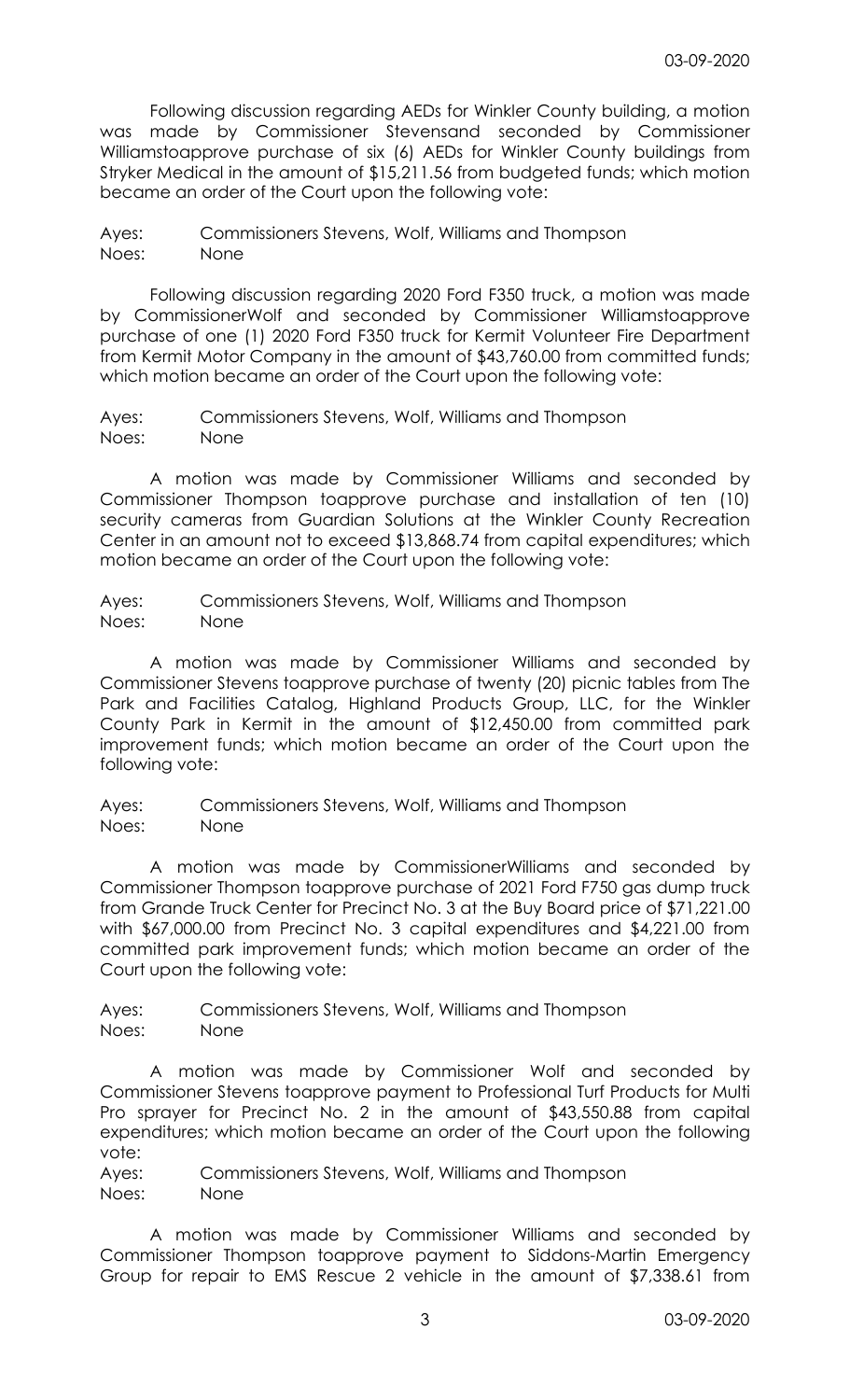Following discussion regarding AEDs for Winkler County building, a motion was made by Commissioner Stevensand seconded by Commissioner Williamstoapprove purchase of six (6) AEDs for Winkler County buildings from Stryker Medical in the amount of \$15,211.56 from budgeted funds; which motion became an order of the Court upon the following vote:

Ayes: Commissioners Stevens, Wolf, Williams and Thompson Noes: None

 Following discussion regarding 2020 Ford F350 truck, a motion was made by CommissionerWolf and seconded by Commissioner Williamstoapprove purchase of one (1) 2020 Ford F350 truck for Kermit Volunteer Fire Department from Kermit Motor Company in the amount of \$43,760.00 from committed funds; which motion became an order of the Court upon the following vote:

Ayes: Commissioners Stevens, Wolf, Williams and Thompson Noes: None

 A motion was made by Commissioner Williams and seconded by Commissioner Thompson toapprove purchase and installation of ten (10) security cameras from Guardian Solutions at the Winkler County Recreation Center in an amount not to exceed \$13,868.74 from capital expenditures; which motion became an order of the Court upon the following vote:

Ayes: Commissioners Stevens, Wolf, Williams and Thompson Noes: None

 A motion was made by Commissioner Williams and seconded by Commissioner Stevens toapprove purchase of twenty (20) picnic tables from The Park and Facilities Catalog, Highland Products Group, LLC, for the Winkler County Park in Kermit in the amount of \$12,450.00 from committed park improvement funds; which motion became an order of the Court upon the following vote:

Ayes: Commissioners Stevens, Wolf, Williams and Thompson Noes: None

 A motion was made by CommissionerWilliams and seconded by Commissioner Thompson toapprove purchase of 2021 Ford F750 gas dump truck from Grande Truck Center for Precinct No. 3 at the Buy Board price of \$71,221.00 with \$67,000.00 from Precinct No. 3 capital expenditures and \$4,221.00 from committed park improvement funds; which motion became an order of the Court upon the following vote:

Ayes: Commissioners Stevens, Wolf, Williams and Thompson Noes: None

 A motion was made by Commissioner Wolf and seconded by Commissioner Stevens toapprove payment to Professional Turf Products for Multi Pro sprayer for Precinct No. 2 in the amount of \$43,550.88 from capital expenditures; which motion became an order of the Court upon the following vote:

Ayes: Commissioners Stevens, Wolf, Williams and Thompson Noes: None

 A motion was made by Commissioner Williams and seconded by Commissioner Thompson toapprove payment to Siddons-Martin Emergency Group for repair to EMS Rescue 2 vehicle in the amount of \$7,338.61 from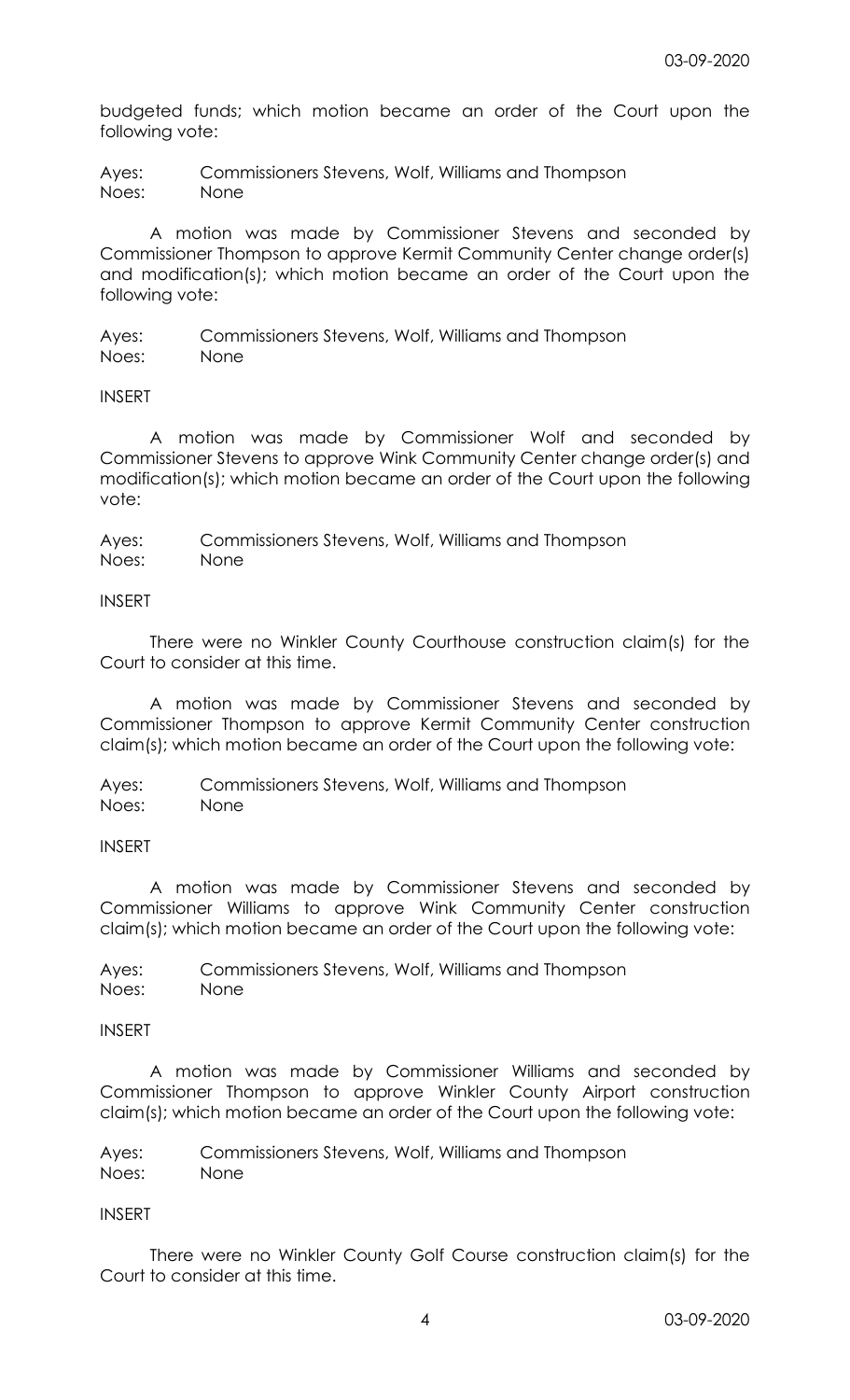budgeted funds; which motion became an order of the Court upon the following vote:

Ayes: Commissioners Stevens, Wolf, Williams and Thompson Noes: None

 A motion was made by Commissioner Stevens and seconded by Commissioner Thompson to approve Kermit Community Center change order(s) and modification(s); which motion became an order of the Court upon the following vote:

Ayes: Commissioners Stevens, Wolf, Williams and Thompson Noes: None

INSERT

 A motion was made by Commissioner Wolf and seconded by Commissioner Stevens to approve Wink Community Center change order(s) and modification(s); which motion became an order of the Court upon the following vote:

Ayes: Commissioners Stevens, Wolf, Williams and Thompson Noes: None

## INSERT

 There were no Winkler County Courthouse construction claim(s) for the Court to consider at this time.

 A motion was made by Commissioner Stevens and seconded by Commissioner Thompson to approve Kermit Community Center construction claim(s); which motion became an order of the Court upon the following vote:

Ayes: Commissioners Stevens, Wolf, Williams and Thompson Noes: None

# INSERT

 A motion was made by Commissioner Stevens and seconded by Commissioner Williams to approve Wink Community Center construction claim(s); which motion became an order of the Court upon the following vote:

Ayes: Commissioners Stevens, Wolf, Williams and Thompson Noes: None

## INSERT

 A motion was made by Commissioner Williams and seconded by Commissioner Thompson to approve Winkler County Airport construction claim(s); which motion became an order of the Court upon the following vote:

Ayes: Commissioners Stevens, Wolf, Williams and Thompson Noes: None

# INSERT

 There were no Winkler County Golf Course construction claim(s) for the Court to consider at this time.